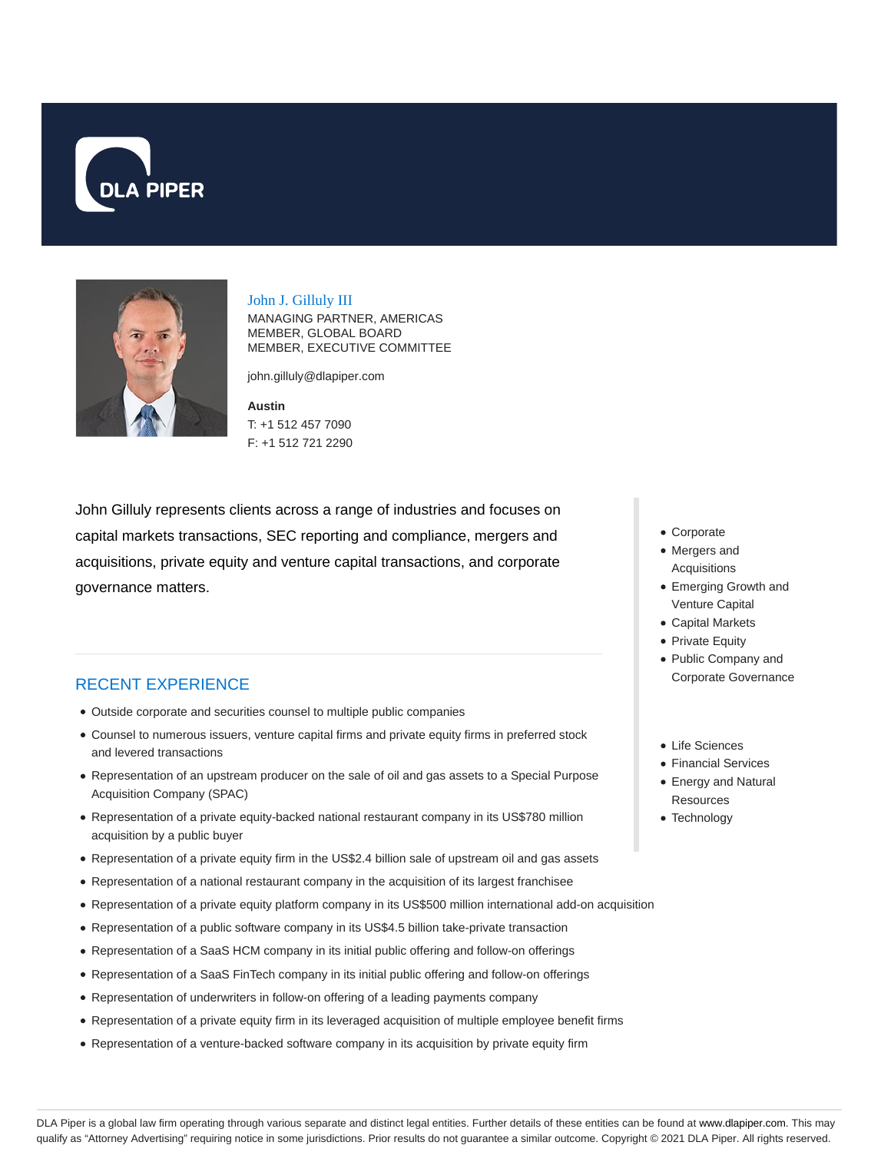



John J. Gilluly III

MANAGING PARTNER, AMERICAS MEMBER, GLOBAL BOARD MEMBER, EXECUTIVE COMMITTEE

john.gilluly@dlapiper.com

**Austin** T: +1 512 457 7090 F: +1 512 721 2290

John Gilluly represents clients across a range of industries and focuses on capital markets transactions, SEC reporting and compliance, mergers and acquisitions, private equity and venture capital transactions, and corporate governance matters.

#### RECENT EXPERIENCE

- Outside corporate and securities counsel to multiple public companies
- Counsel to numerous issuers, venture capital firms and private equity firms in preferred stock and levered transactions
- Representation of an upstream producer on the sale of oil and gas assets to a Special Purpose Acquisition Company (SPAC)
- Representation of a private equity-backed national restaurant company in its US\$780 million acquisition by a public buyer
- Representation of a private equity firm in the US\$2.4 billion sale of upstream oil and gas assets
- Representation of a national restaurant company in the acquisition of its largest franchisee
- Representation of a private equity platform company in its US\$500 million international add-on acquisition
- Representation of a public software company in its US\$4.5 billion take-private transaction
- Representation of a SaaS HCM company in its initial public offering and follow-on offerings
- Representation of a SaaS FinTech company in its initial public offering and follow-on offerings
- Representation of underwriters in follow-on offering of a leading payments company
- Representation of a private equity firm in its leveraged acquisition of multiple employee benefit firms
- Representation of a venture-backed software company in its acquisition by private equity firm
- Corporate
- Mergers and Acquisitions
- Emerging Growth and Venture Capital
- Capital Markets
- Private Equity
- Public Company and Corporate Governance
- Life Sciences
- Financial Services
- Energy and Natural **Resources**
- Technology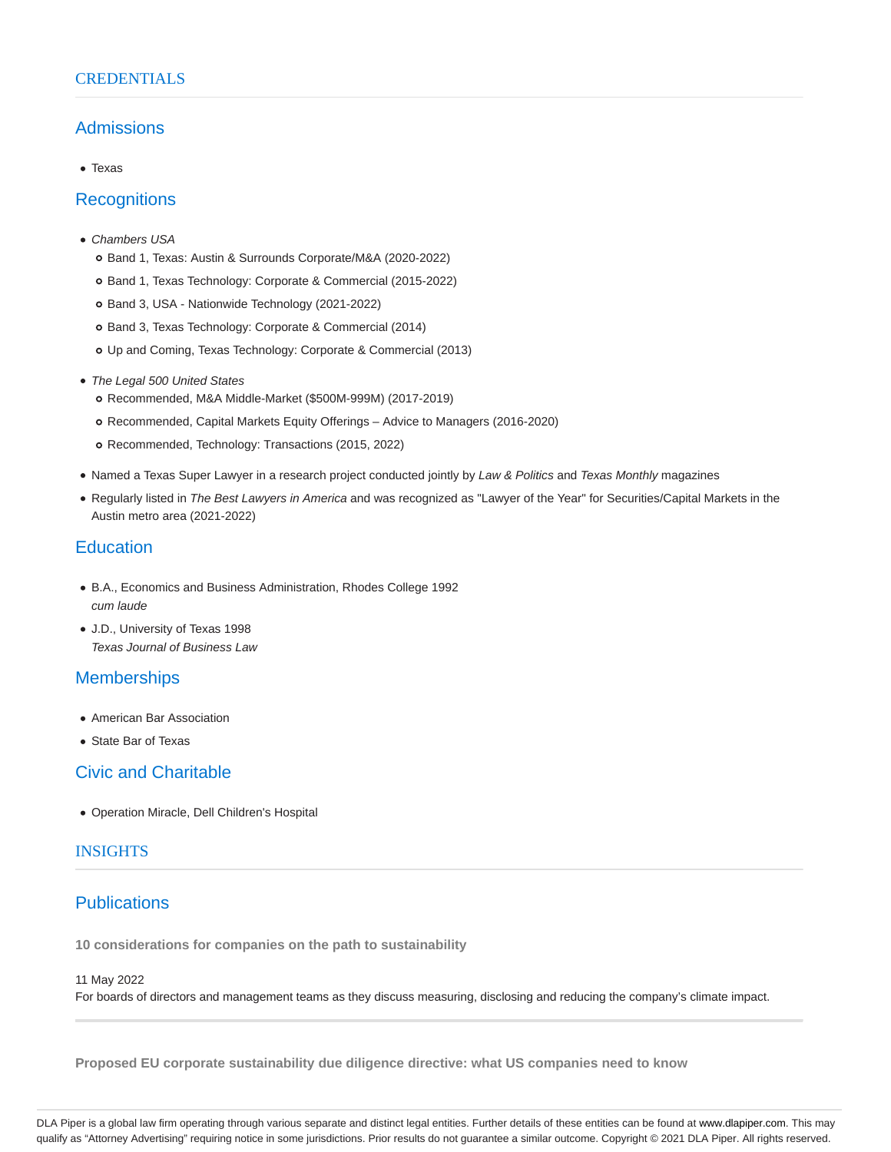#### **CREDENTIALS**

### Admissions

Texas

#### **Recognitions**

- Chambers USA
	- Band 1, Texas: Austin & Surrounds Corporate/M&A (2020-2022)
	- Band 1, Texas Technology: Corporate & Commercial (2015-2022)
	- o Band 3, USA Nationwide Technology (2021-2022)
	- Band 3, Texas Technology: Corporate & Commercial (2014)
	- Up and Coming, Texas Technology: Corporate & Commercial (2013)
- The Legal 500 United States
	- Recommended, M&A Middle-Market (\$500M-999M) (2017-2019)
	- Recommended, Capital Markets Equity Offerings Advice to Managers (2016-2020)
	- o Recommended, Technology: Transactions (2015, 2022)
- Named a Texas Super Lawyer in a research project conducted jointly by Law & Politics and Texas Monthly magazines
- Regularly listed in The Best Lawyers in America and was recognized as "Lawyer of the Year" for Securities/Capital Markets in the Austin metro area (2021-2022)

### **Education**

- B.A., Economics and Business Administration, Rhodes College 1992 cum laude
- J.D., University of Texas 1998 Texas Journal of Business Law

## **Memberships**

- American Bar Association
- State Bar of Texas

#### Civic and Charitable

Operation Miracle, Dell Children's Hospital

### **INSIGHTS**

# **Publications**

**10 considerations for companies on the path to sustainability**

#### 11 May 2022

For boards of directors and management teams as they discuss measuring, disclosing and reducing the company's climate impact.

**Proposed EU corporate sustainability due diligence directive: what US companies need to know**

DLA Piper is a global law firm operating through various separate and distinct legal entities. Further details of these entities can be found at www.dlapiper.com. This may qualify as "Attorney Advertising" requiring notice in some jurisdictions. Prior results do not guarantee a similar outcome. Copyright © 2021 DLA Piper. All rights reserved.